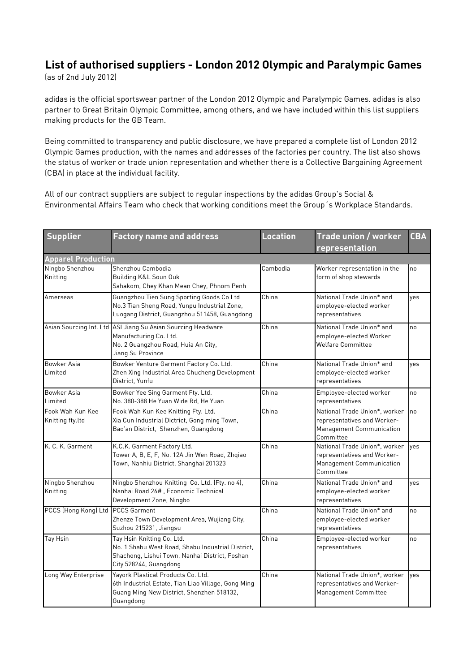## **List of authorised suppliers - London 2012 Olympic and Paralympic Games**

(as of 2nd July 2012)

adidas is the official sportswear partner of the London 2012 Olympic and Paralympic Games. adidas is also partner to Great Britain Olympic Committee, among others, and we have included within this list suppliers making products for the GB Team.

Being committed to transparency and public disclosure, we have prepared a complete list of London 2012 Olympic Games production, with the names and addresses of the factories per country. The list also shows the status of worker or trade union representation and whether there is a Collective Bargaining Agreement (CBA) in place at the individual facility.

All of our contract suppliers are subject to regular inspections by the adidas Group's Social & Environmental Affairs Team who check that working conditions meet the Group´s Workplace Standards.

| <b>Supplier</b>                      | <b>Factory name and address</b>                                                                                                                             | <b>Location</b>           | <b>Trade union / worker</b><br>representation                                                         | <b>CBA</b> |
|--------------------------------------|-------------------------------------------------------------------------------------------------------------------------------------------------------------|---------------------------|-------------------------------------------------------------------------------------------------------|------------|
| <b>Apparel Production</b>            |                                                                                                                                                             |                           |                                                                                                       |            |
| Ningbo Shenzhou<br>Knitting          | Shenzhou Cambodia<br>Building K&L Soun Ouk<br>Sahakom, Chey Khan Mean Chey, Phnom Penh                                                                      | Cambodia                  | Worker representation in the<br>form of shop stewards                                                 | no         |
| Amerseas                             | Guangzhou Tien Sung Sporting Goods Co Ltd<br>No.3 Tian Sheng Road, Yunpu Industrial Zone,<br>Luogang District, Guangzhou 511458, Guangdong                  | China                     | National Trade Union* and<br>employee-elected worker<br>representatives                               | yes        |
|                                      | Asian Sourcing Int. Ltd ASI Jiang Su Asian Sourcing Headware<br>Manufacturing Co. Ltd.<br>No. 2 Guangzhou Road, Huia An City,<br>Jiang Su Province          | China                     | National Trade Union* and<br>employee-elected Worker<br><b>Welfare Committee</b>                      | no         |
| <b>Bowker Asia</b><br>Limited        | Bowker Venture Garment Factory Co. Ltd.<br>Zhen Xing Industrial Area Chucheng Development<br>District, Yunfu                                                | China                     | National Trade Union* and<br>employee-elected worker<br>representatives                               | yes        |
| Bowker Asia<br>Limited               | Bowker Yee Sing Garment Fty. Ltd.<br>No. 380-388 He Yuan Wide Rd. He Yuan                                                                                   | China                     | Employee-elected worker<br>representatives                                                            | no         |
| Fook Wah Kun Kee<br>Knitting fty.ltd | Fook Wah Kun Kee Knitting Fty. Ltd.<br>Xia Cun Industrial Dictrict, Gong ming Town,<br>Bao'an District, Shenzhen, Guangdong                                 | China                     | National Trade Union*, worker<br>representatives and Worker-<br>Management Communication<br>Committee | no         |
| K. C. K. Garment                     | K.C.K. Garment Factory Ltd.<br>Tower A, B, E, F, No. 12A Jin Wen Road, Zhqiao<br>Town, Nanhiu District, Shanghai 201323                                     | China                     | National Trade Union*, worker<br>representatives and Worker-<br>Management Communication<br>Committee | yes        |
| Ningbo Shenzhou<br>Knitting          | Ningbo Shenzhou Knitting Co. Ltd. (Fty. no 4),<br>Nanhai Road 26#, Economic Technical<br>Development Zone, Ningbo                                           | China                     | National Trade Union* and<br>employee-elected worker<br>representatives                               | yes        |
| PCCS (Hong Kong) Ltd PCCS Garment    | Zhenze Town Development Area, Wujiang City,<br>Suzhou 215231, Jiangsu                                                                                       | China                     | National Trade Union* and<br>employee-elected worker<br>representatives                               | no         |
| Tay Hsin                             | Tay Hsin Knitting Co. Ltd.<br>No. 1 Shabu West Road, Shabu Industrial District,<br>Shachong, Lishui Town, Nanhai District, Foshan<br>City 528244, Guangdong | $\overline{\text{China}}$ | Employee-elected worker<br>representatives                                                            | no         |
| Long Way Enterprise                  | Yayork Plastical Products Co. Ltd.<br>6th Industrial Estate, Tian Liao Village, Gong Ming<br>Guang Ming New District, Shenzhen 518132,<br>Guangdong         | China                     | National Trade Union*, worker<br>representatives and Worker-<br>Management Committee                  | ves        |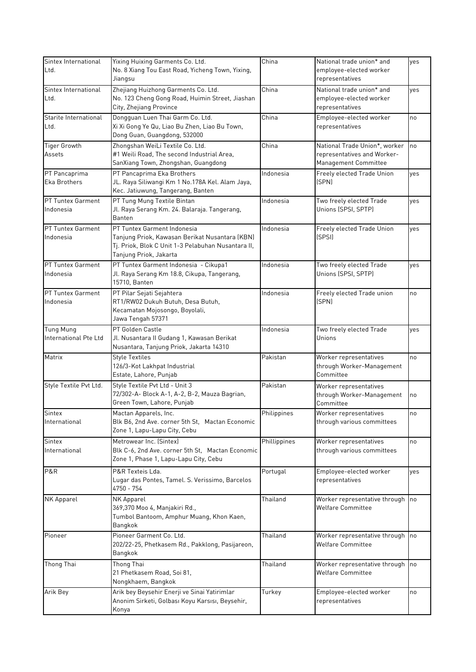| Sintex International<br>Ltd.              | Yixing Huixing Garments Co. Ltd.<br>No. 8 Xiang Tou East Road, Yicheng Town, Yixing,<br>Jiangsu                                                               | China              | National trade union* and<br>employee-elected worker<br>representatives              | yes |
|-------------------------------------------|---------------------------------------------------------------------------------------------------------------------------------------------------------------|--------------------|--------------------------------------------------------------------------------------|-----|
| Sintex International<br>Ltd.              | Zhejiang Huizhong Garments Co. Ltd.<br>No. 123 Cheng Gong Road, Huimin Street, Jiashan<br>City, Zhejiang Province                                             | $\overline{China}$ | National trade union* and<br>employee-elected worker<br>representatives              | yes |
| Starite International<br>Ltd.             | Dongguan Luen Thai Garm Co. Ltd.<br>Xi Xi Gong Ye Qu, Liao Bu Zhen, Liao Bu Town,<br>Dong Guan, Guangdong, 532000                                             | China              | Employee-elected worker<br>representatives                                           | no  |
| <b>Tiger Growth</b><br>Assets             | Zhongshan WeiLi Textile Co. Ltd.<br>#1 Weili Road, The second Industrial Area,<br>SanXiang Town, Zhongshan, Guangdong                                         | China              | National Trade Union*, worker<br>representatives and Worker-<br>Management Committee | no  |
| PT Pancaprima<br>Eka Brothers             | PT Pancaprima Eka Brothers<br>JL. Raya Siliwangi Km 1 No.178A Kel. Alam Jaya,<br>Kec. Jatiuwung, Tangerang, Banten                                            | Indonesia          | Freely elected Trade Union<br>(SPN)                                                  | yes |
| PT Tuntex Garment<br>Indonesia            | PT Tung Mung Textile Bintan<br>Jl. Raya Serang Km. 24. Balaraja. Tangerang,<br>Banten                                                                         | Indonesia          | Two freely elected Trade<br>Unions (SPSI, SPTP)                                      | yes |
| PT Tuntex Garment<br>Indonesia            | PT Tuntex Garment Indonesia<br>Tanjung Priok, Kawasan Berikat Nusantara (KBN)<br>Tj. Priok, Blok C Unit 1-3 Pelabuhan Nusantara II,<br>Tanjung Priok, Jakarta | Indonesia          | Freely elected Trade Union<br>(SPSI)                                                 | yes |
| PT Tuntex Garment<br>Indonesia            | PT Tuntex Garment Indonesia - Cikupa1<br>Jl. Raya Serang Km 18.8, Cikupa, Tangerang,<br>15710, Banten                                                         | Indonesia          | Two freely elected Trade<br>Unions (SPSI, SPTP)                                      | yes |
| PT Tuntex Garment<br>Indonesia            | PT Pilar Sejati Sejahtera<br>RT1/RW02 Dukuh Butuh, Desa Butuh,<br>Kecamatan Mojosongo, Boyolali,<br>Jawa Tengah 57371                                         | Indonesia          | Freely elected Trade union<br>(SPN)                                                  | no  |
| <b>Tung Mung</b><br>International Pte Ltd | PT Golden Castle<br>Jl. Nusantara II Gudang 1, Kawasan Berikat<br>Nusantara, Tanjung Priok, Jakarta 14310                                                     | Indonesia          | Two freely elected Trade<br>Unions                                                   | yes |
| Matrix                                    | <b>Style Textiles</b><br>126/3-Kot Lakhpat Industrial<br>Estate, Lahore, Punjab                                                                               | Pakistan           | Worker representatives<br>through Worker-Management<br>Committee                     | no  |
| Style Textile Pvt Ltd.                    | Style Textile Pvt Ltd - Unit 3<br>72/302-A- Block A-1, A-2, B-2, Mauza Bagrian,<br>Green Town, Lahore, Punjab                                                 | Pakistan           | Worker representatives<br>through Worker-Management<br>Committee                     | no  |
| Sintex<br>International                   | Mactan Apparels, Inc.<br>Blk B6, 2nd Ave. corner 5th St, Mactan Economic<br>Zone 1, Lapu-Lapu City, Cebu                                                      | Philippines        | Worker representatives<br>through various committees                                 | no  |
| Sintex<br>International                   | Metrowear Inc. (Sintex)<br>Blk C-6, 2nd Ave. corner 5th St, Mactan Economic<br>Zone 1, Phase 1, Lapu-Lapu City, Cebu                                          | Phillippines       | Worker representatives<br>through various committees                                 | no  |
| P&R                                       | P&R Texteis Lda.<br>Lugar das Pontes, Tamel. S. Verissimo, Barcelos<br>4750 - 754                                                                             | Portugal           | Employee-elected worker<br>representatives                                           | yes |
| NK Apparel                                | NK Apparel<br>369,370 Moo 4, Manjakiri Rd.,<br>Tumbol Bantoom, Amphur Muang, Khon Kaen,<br>Bangkok                                                            | Thailand           | Worker representative through<br>Welfare Committee                                   | no  |
| Pioneer                                   | Pioneer Garment Co. Ltd.<br>202/22-25, Phetkasem Rd., Pakklong, Pasijareon,<br>Bangkok                                                                        | Thailand           | Worker representative through no<br>Welfare Committee                                |     |
| <b>Thong Thai</b>                         | Thong Thai<br>21 Phetkasem Road, Soi 81,<br>Nongkhaem, Bangkok                                                                                                | Thailand           | Worker representative through<br>Welfare Committee                                   | no  |
| Arik Bey                                  | Arik bey Beysehir Enerji ve Sinai Yatirimlar<br>Anonim Sirketi, Golbası Koyu Karsısı, Beysehir,<br>Konya                                                      | Turkey             | Employee-elected worker<br>representatives                                           | no  |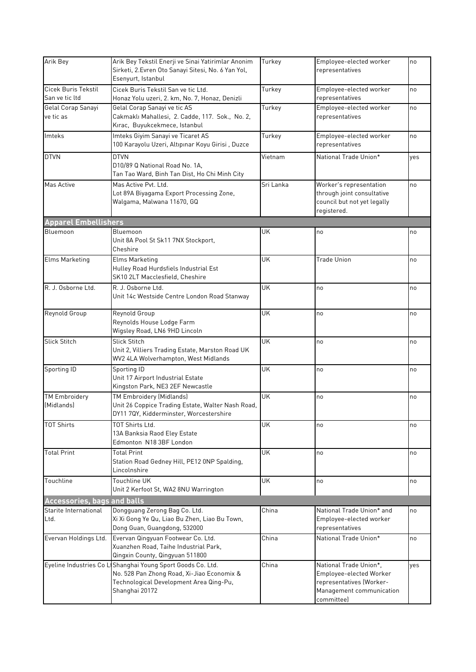| Arik Bey                              | Arik Bey Tekstil Enerji ve Sinai Yatirimlar Anonim<br>Sirketi, 2. Evren Oto Sanayi Sitesi, No. 6 Yan Yol,<br>Esenyurt, Istanbul                                        | Turkey    | Employee-elected worker<br>representatives                                                                              | no  |
|---------------------------------------|------------------------------------------------------------------------------------------------------------------------------------------------------------------------|-----------|-------------------------------------------------------------------------------------------------------------------------|-----|
| Cicek Buris Tekstil<br>San ve tic ltd | Cicek Buris Tekstil San ve tic Ltd.<br>Honaz Yolu uzeri, 2. km, No. 7, Honaz, Denizli                                                                                  | Turkey    | Employee-elected worker<br>representatives                                                                              | no  |
| Gelal Corap Sanayi<br>ve tic as       | Gelal Corap Sanayi ve tic AS<br>Cakmaklı Mahallesi, 2. Cadde, 117. Sok., No. 2,<br>Kırac, Buyukcekmece, Istanbul                                                       | Turkey    | Employee-elected worker<br>representatives                                                                              | no  |
| Imteks                                | Imteks Giyim Sanayi ve Ticaret AS<br>100 Karayolu Uzeri, Altıpınar Koyu Girisi, Duzce                                                                                  | Turkey    | Employee-elected worker<br>representatives                                                                              | no  |
| <b>DTVN</b>                           | <b>DTVN</b><br>D10/89 Q National Road No. 1A,<br>Tan Tao Ward, Binh Tan Dist, Ho Chi Minh City                                                                         | Vietnam   | National Trade Union*                                                                                                   | yes |
| Mas Active                            | Mas Active Pvt. Ltd.<br>Lot 89A Biyagama Export Processing Zone,<br>Walgama, Malwana 11670, GQ                                                                         | Sri Lanka | Worker's representation<br>through joint consultative<br>council but not yet legally<br>registered.                     | no  |
| <b>Apparel Embellishers</b>           |                                                                                                                                                                        |           |                                                                                                                         |     |
| Bluemoon                              | Bluemoon<br>Unit 8A Pool St Sk11 7NX Stockport,<br>Cheshire                                                                                                            | <b>UK</b> | no                                                                                                                      | no  |
| <b>Elms Marketing</b>                 | Elms Marketing<br>Hulley Road Hurdsfiels Industrial Est<br>SK10 2LT Macclesfield, Cheshire                                                                             | <b>UK</b> | <b>Trade Union</b>                                                                                                      | no  |
| R. J. Osborne Ltd.                    | R. J. Osborne Ltd.<br>Unit 14c Westside Centre London Road Stanway                                                                                                     | <b>UK</b> | no                                                                                                                      | no  |
| Reynold Group                         | Reynold Group<br>Reynolds House Lodge Farm<br>Wigsley Road, LN6 9HD Lincoln                                                                                            | <b>UK</b> | no                                                                                                                      | no  |
| <b>Slick Stitch</b>                   | <b>Slick Stitch</b><br>Unit 2, Villiers Trading Estate, Marston Road UK<br>WV2 4LA Wolverhampton, West Midlands                                                        | <b>UK</b> | no                                                                                                                      | no  |
| Sporting ID                           | Sporting ID<br>Unit 17 Airport Industrial Estate<br>Kingston Park, NE3 2EF Newcastle                                                                                   | <b>UK</b> | no                                                                                                                      | no  |
| <b>TM Embroidery</b><br>(Midlands)    | TM Embroidery (Midlands)<br>Unit 26 Coppice Trading Estate, Walter Nash Road,<br>DY11 7QY, Kidderminster, Worcestershire                                               | <b>UK</b> | no                                                                                                                      | no  |
| <b>TOT Shirts</b>                     | TOT Shirts Ltd.<br>13A Banksia Raod Eley Estate<br>Edmonton N18 3BF London                                                                                             | UK        | no                                                                                                                      | no  |
| <b>Total Print</b>                    | <b>Total Print</b><br>Station Road Gedney Hill, PE12 ONP Spalding,<br>Lincolnshire                                                                                     | <b>UK</b> | no                                                                                                                      | no  |
| Touchline                             | Touchline UK<br>Unit 2 Kerfoot St, WA2 8NU Warrington                                                                                                                  | <b>UK</b> | no                                                                                                                      | no  |
| <b>Accessories, bags and balls</b>    |                                                                                                                                                                        |           |                                                                                                                         |     |
| Starite International<br>Ltd.         | Dongguang Zerong Bag Co. Ltd.<br>Xi Xi Gong Ye Qu, Liao Bu Zhen, Liao Bu Town,<br>Dong Guan, Guangdong, 532000                                                         | China     | National Trade Union* and<br>Employee-elected worker<br>representatives                                                 | no  |
| Evervan Holdings Ltd.                 | Evervan Qingyuan Footwear Co. Ltd.<br>Xuanzhen Road, Taihe Industrial Park,<br>Qingxin County, Qingyuan 511800                                                         | China     | National Trade Union*                                                                                                   | no  |
|                                       | Eyeline Industries Co L Shanghai Young Sport Goods Co. Ltd.<br>No. 528 Pan Zhong Road, Xi-Jiao Economix &<br>Technological Development Area Qing-Pu,<br>Shanghai 20172 | China     | National Trade Union*,<br>Employee-elected Worker<br>representatives (Worker-<br>Management communication<br>committee) | yes |